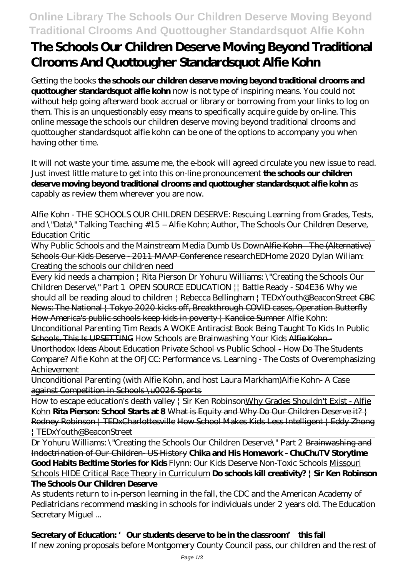## **Online Library The Schools Our Children Deserve Moving Beyond Traditional Clrooms And Quottougher Standardsquot Alfie Kohn**

# **The Schools Our Children Deserve Moving Beyond Traditional Clrooms And Quottougher Standardsquot Alfie Kohn**

Getting the books **the schools our children deserve moving beyond traditional clrooms and quottougher standardsquot alfie kohn** now is not type of inspiring means. You could not without help going afterward book accrual or library or borrowing from your links to log on them. This is an unquestionably easy means to specifically acquire guide by on-line. This online message the schools our children deserve moving beyond traditional clrooms and quottougher standardsquot alfie kohn can be one of the options to accompany you when having other time.

It will not waste your time. assume me, the e-book will agreed circulate you new issue to read. Just invest little mature to get into this on-line pronouncement **the schools our children deserve moving beyond traditional clrooms and quottougher standardsquot alfie kohn** as capably as review them wherever you are now.

Alfie Kohn - THE SCHOOLS OUR CHILDREN DESERVE: Rescuing Learning from Grades, Tests, and \"Data\" Talking Teaching #15 – Alfie Kohn; Author, The Schools Our Children Deserve, Education Critic

Why Public Schools and the Mainstream Media Dumb Us DownAlfie Kohn - The (Alternative) Schools Our Kids Deserve - 2011 MAAP Conference *researchEDHome 2020 Dylan Wiliam: Creating the schools our children need*

Every kid needs a champion | Rita Pierson Dr Yohuru Williams: \"Creating the Schools Our Children Deserve\" Part 1 OPEN SOURCE EDUCATION || Battle Ready - S04E36 *Why we should all be reading aloud to children | Rebecca Bellingham | TEDxYouth@BeaconStreet* CBC News: The National | Tokyo 2020 kicks off, Breakthrough COVID cases, Operation Butterfly How America's public schools keep kids in poverty | Kandice Sumner Alfie Kohn: Unconditional Parenting Tim Reads A WOKE Antiracist Book Being Taught To Kids In Public Schools, This Is UPSETTING *How Schools are Brainwashing Your Kids* Alfie Kohn - Unorthodox Ideas About Education Private School vs Public School - How Do The Students Compare? Alfie Kohn at the OFJCC: Performance vs. Learning - The Costs of Overemphasizing Achievement

Unconditional Parenting (with Alfie Kohn, and host Laura Markham)Alfie Kohn- A Case against Competition in Schools \u0026 Sports

How to escape education's death valley | Sir Ken RobinsonWhy Grades Shouldn't Exist - Alfie Kohn **Rita Pierson: School Starts at 8** What is Equity and Why Do Our Children Deserve it? | Rodney Robinson | TEDxCharlottesville How School Makes Kids Less Intelligent | Eddy Zhong | TEDxYouth@BeaconStreet

Dr Yohuru Williams: \"Creating the Schools Our Children Deserve\" Part 2 <del>Brainwashing and</del> Indoctrination of Our Children- US History **Chika and His Homework - ChuChuTV Storytime Good Habits Bedtime Stories for Kids** Flynn: Our Kids Deserve Non-Toxic Schools Missouri Schools HIDE Critical Race Theory in Curriculum **Do schools kill creativity? | Sir Ken Robinson The Schools Our Children Deserve**

As students return to in-person learning in the fall, the CDC and the American Academy of Pediatricians recommend masking in schools for individuals under 2 years old. The Education Secretary Miguel ...

## **Secretary of Education: 'Our students deserve to be in the classroom' this fall**

If new zoning proposals before Montgomery County Council pass, our children and the rest of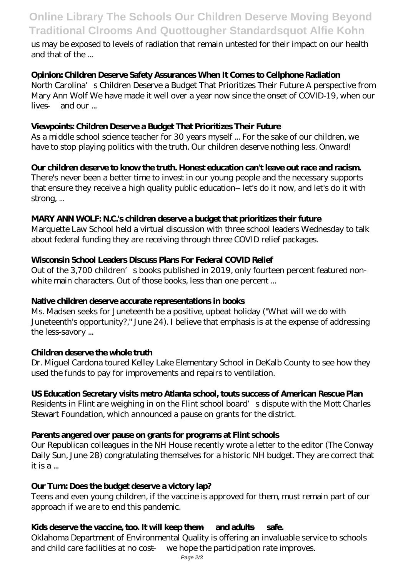## **Online Library The Schools Our Children Deserve Moving Beyond Traditional Clrooms And Quottougher Standardsquot Alfie Kohn**

us may be exposed to levels of radiation that remain untested for their impact on our health and that of the ...

## **Opinion: Children Deserve Safety Assurances When It Comes to Cellphone Radiation**

North Carolina's Children Deserve a Budget That Prioritizes Their Future A perspective from Mary Ann Wolf We have made it well over a year now since the onset of COVID-19, when our lives — and our ...

## **Viewpoints: Children Deserve a Budget That Prioritizes Their Future**

As a middle school science teacher for 30 years myself ... For the sake of our children, we have to stop playing politics with the truth. Our children deserve nothing less. Onward!

## **Our children deserve to know the truth. Honest education can't leave out race and racism.**

There's never been a better time to invest in our young people and the necessary supports that ensure they receive a high quality public education-- let's do it now, and let's do it with strong, ...

### **MARY ANN WOLF: N.C.'s children deserve a budget that prioritizes their future**

Marquette Law School held a virtual discussion with three school leaders Wednesday to talk about federal funding they are receiving through three COVID relief packages.

### **Wisconsin School Leaders Discuss Plans For Federal COVID Relief**

Out of the 3,700 children's books published in 2019, only fourteen percent featured nonwhite main characters. Out of those books, less than one percent ...

### **Native children deserve accurate representations in books**

Ms. Madsen seeks for Juneteenth be a positive, upbeat holiday ("What will we do with Juneteenth's opportunity?," June 24). I believe that emphasis is at the expense of addressing the less-savory ...

### **Children deserve the whole truth**

Dr. Miguel Cardona toured Kelley Lake Elementary School in DeKalb County to see how they used the funds to pay for improvements and repairs to ventilation.

### **US Education Secretary visits metro Atlanta school, touts success of American Rescue Plan**

Residents in Flint are weighing in on the Flint school board's dispute with the Mott Charles Stewart Foundation, which announced a pause on grants for the district.

### **Parents angered over pause on grants for programs at Flint schools**

Our Republican colleagues in the NH House recently wrote a letter to the editor (The Conway Daily Sun, June 28) congratulating themselves for a historic NH budget. They are correct that it is a ...

### **Our Turn: Does the budget deserve a victory lap?**

Teens and even young children, if the vaccine is approved for them, must remain part of our approach if we are to end this pandemic.

### **Kids deserve the vaccine, too. It will keep them — and adults — safe.**

Oklahoma Department of Environmental Quality is offering an invaluable service to schools and child care facilities at no cost — we hope the participation rate improves.